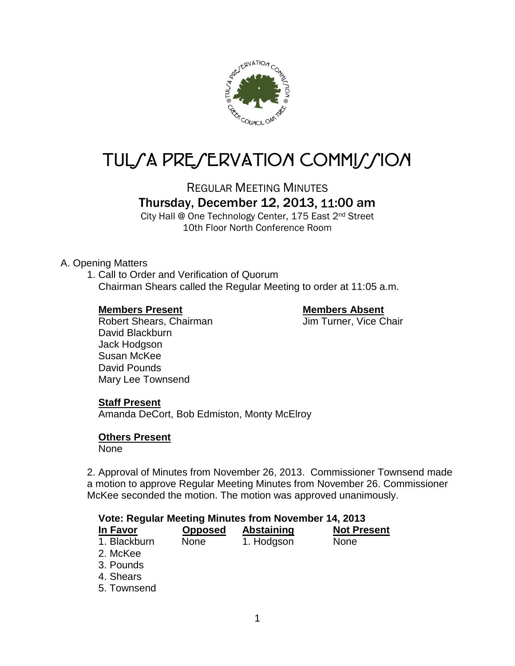

# TUL/A PRE/ERVATION COMMI*J*/ION

REGULAR MEETING MINUTES

## Thursday, December 12, 2013, 11:00 am

City Hall @ One Technology Center, 175 East 2nd Street 10th Floor North Conference Room

#### A. Opening Matters

1. Call to Order and Verification of Quorum Chairman Shears called the Regular Meeting to order at 11:05 a.m.

#### **Members Present Members Absent**

Robert Shears, Chairman Jim Turner, Vice Chair David Blackburn Jack Hodgson Susan McKee David Pounds Mary Lee Townsend

#### **Staff Present**

Amanda DeCort, Bob Edmiston, Monty McElroy

#### **Others Present**

None

2. Approval of Minutes from November 26, 2013. Commissioner Townsend made a motion to approve Regular Meeting Minutes from November 26. Commissioner McKee seconded the motion. The motion was approved unanimously.

| Vote: Regular Meeting Minutes from November 14, 2013 |                |                   |                    |
|------------------------------------------------------|----------------|-------------------|--------------------|
| In Favor                                             | <b>Opposed</b> | <b>Abstaining</b> | <b>Not Present</b> |
| 1. Blackburn                                         | <b>None</b>    | 1. Hodgson        | <b>None</b>        |
| 2. McKee                                             |                |                   |                    |
| 3. Pounds                                            |                |                   |                    |
| 4. Shears                                            |                |                   |                    |
| 5. Townsend                                          |                |                   |                    |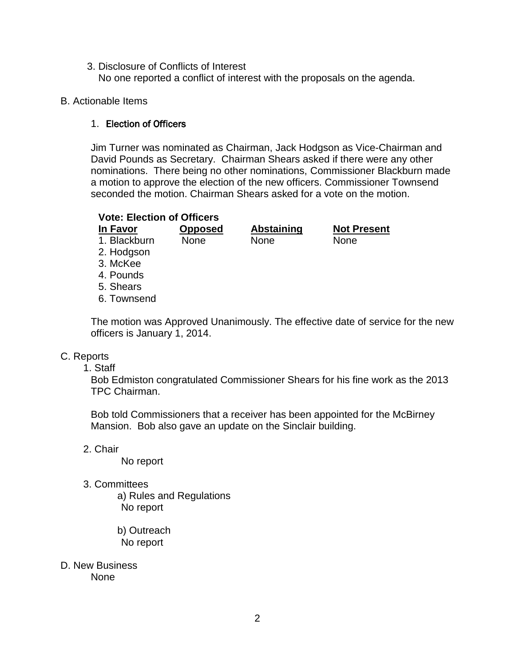- 3. Disclosure of Conflicts of Interest No one reported a conflict of interest with the proposals on the agenda.
- B. Actionable Items

#### 1. Election of Officers

Jim Turner was nominated as Chairman, Jack Hodgson as Vice-Chairman and David Pounds as Secretary. Chairman Shears asked if there were any other nominations. There being no other nominations, Commissioner Blackburn made a motion to approve the election of the new officers. Commissioner Townsend seconded the motion. Chairman Shears asked for a vote on the motion.

**In Favor Opposed Abstaining Not Present** 1. Blackburn None None None 2. Hodgson 3. McKee 4. Pounds 5. Shears 6. Townsend

The motion was Approved Unanimously. The effective date of service for the new officers is January 1, 2014.

#### C. Reports

#### 1. Staff

Bob Edmiston congratulated Commissioner Shears for his fine work as the 2013 TPC Chairman.

Bob told Commissioners that a receiver has been appointed for the McBirney Mansion. Bob also gave an update on the Sinclair building.

2. Chair

No report

3. Committees

a) Rules and Regulations No report

b) Outreach No report

D. New Business

None